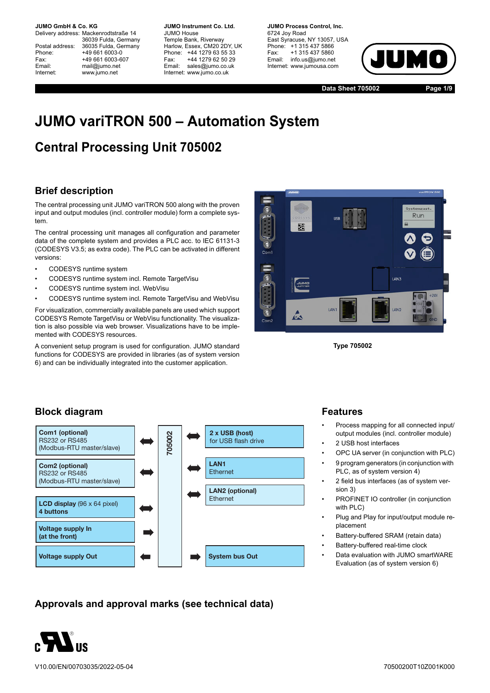Delivery address: Mackenrodtstraße 14 36039 Fulda, Germany Postal address: 36035 Fulda, Germany Phone: +49 661 6003-0 Fax: +49 661 6003-607 Email: mail@jumo.net Internet: www.jumo.net

**JUMO Instrument Co. Ltd.** JUMO House Temple Bank, Riverway Harlow, Essex, CM20 2DY, UK Phone: +44 1279 63 55 33 Fax: +44 1279 62 50 29 Email: sales@jumo.co.uk Internet: www.jumo.co.uk

**JUMO Process Control, Inc.** 6724 Joy Road East Syracuse, NY 13057, USA Phone: +1 315 437 5866 Fax: +1 315 437 5860 Email: info.us@jumo.net Internet: www.jumousa.com



**Data Sheet 705002 Page 1/9**

# **JUMO variTRON 500 – Automation System**

# **Central Processing Unit 705002**

## **Brief description**

The central processing unit JUMO variTRON 500 along with the proven input and output modules (incl. controller module) form a complete system.

The central processing unit manages all configuration and parameter data of the complete system and provides a PLC acc. to IEC 61131-3 (CODESYS V3.5; as extra code). The PLC can be activated in different versions:

- CODESYS runtime system
- CODESYS runtime system incl. Remote TargetVisu
- CODESYS runtime system incl. WebVisu
- CODESYS runtime system incl. Remote TargetVisu and WebVisu

For visualization, commercially available panels are used which support CODESYS Remote TargetVisu or WebVisu functionality. The visualization is also possible via web browser. Visualizations have to be implemented with CODESYS resources.

A convenient setup program is used for configuration. JUMO standard functions for CODESYS are provided in libraries (as of system version 6) and can be individually integrated into the customer application.



**Type 705002**

## **Block diagram**



## **Approvals and approval marks (see technical data)**



## **Features**

- Process mapping for all connected input/ output modules (incl. controller module)
- 2 USB host interfaces
- OPC UA server (in conjunction with PLC)
- 9 program generators (in conjunction with PLC, as of system version 4)
- 2 field bus interfaces (as of system version 3)
- PROFINET IO controller (in conjunction with PLC)
- Plug and Play for input/output module replacement
- Battery-buffered SRAM (retain data)
- Battery-buffered real-time clock
- Data evaluation with JUMO smartWARE Evaluation (as of system version 6)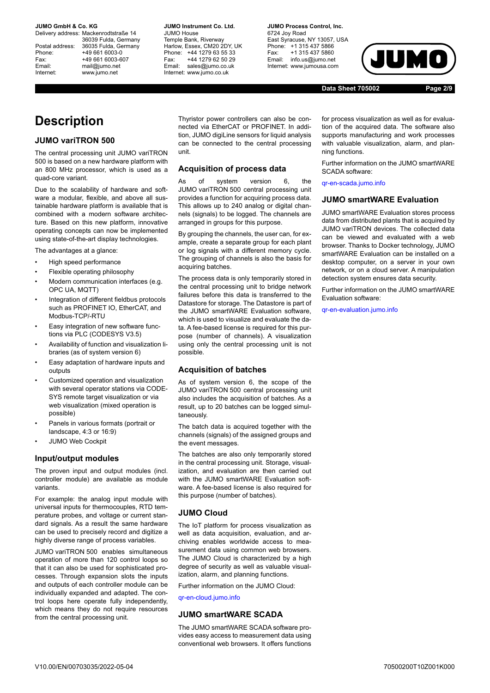Delivery address: Mackenrodtstraße 14 36039 Fulda, Germany Postal address: 36035 Fulda, Germany Phone: +49 661 6003-0 Fax: +49 661 6003-607 Email: mail@jumo.net Internet: www.jumo.net

**JUMO Instrument Co. Ltd.** JUMO House Temple Bank, Riverway Harlow, Essex, CM20 2DY, UK Phone: +44 1279 63 55 33 Fax: +44 1279 62 50 29 Email: sales@jumo.co.uk Internet: www.jumo.co.uk

**JUMO Process Control, Inc.** 6724 Joy Road

East Syracuse, NY 13057, USA Phone: +1 315 437 5866 Fax: +1 315 437 5860 Email: info.us@jumo.net Internet: www.jumousa.com



**Data Sheet 705002 Page 2/9**

## **Description**

#### **JUMO variTRON 500**

The central processing unit JUMO variTRON 500 is based on a new hardware platform with an 800 MHz processor, which is used as a quad-core variant.

Due to the scalability of hardware and software a modular, flexible, and above all sustainable hardware platform is available that is combined with a modern software architecture. Based on this new platform, innovative operating concepts can now be implemented using state-of-the-art display technologies.

The advantages at a glance:

- High speed performance
- Flexible operating philosophy
- Modern communication interfaces (e.g. OPC UA, MQTT)
- Integration of different fieldbus protocols such as PROFINET IO, EtherCAT, and Modbus-TCP/-RTU
- Easy integration of new software functions via PLC (CODESYS V3.5)
- Availability of function and visualization libraries (as of system version 6)
- Easy adaptation of hardware inputs and outputs
- Customized operation and visualization with several operator stations via CODE-SYS remote target visualization or via web visualization (mixed operation is possible)
- Panels in various formats (portrait or landscape, 4:3 or 16:9)
- JUMO Web Cockpit

#### **Input/output modules**

The proven input and output modules (incl. controller module) are available as module variants.

For example: the analog input module with universal inputs for thermocouples, RTD temperature probes, and voltage or current standard signals. As a result the same hardware can be used to precisely record and digitize a highly diverse range of process variables.

JUMO variTRON 500 enables simultaneous operation of more than 120 control loops so that it can also be used for sophisticated processes. Through expansion slots the inputs and outputs of each controller module can be individually expanded and adapted. The control loops here operate fully independently, which means they do not require resources from the central processing unit.

Thyristor power controllers can also be connected via EtherCAT or PROFINET. In addition, JUMO digiLine sensors for liquid analysis can be connected to the central processing unit.

#### **Acquisition of process data**

As of system version 6, the JUMO variTRON 500 central processing unit provides a function for acquiring process data. This allows up to 240 analog or digital channels (signals) to be logged. The channels are arranged in groups for this purpose.

By grouping the channels, the user can, for example, create a separate group for each plant or log signals with a different memory cycle. The grouping of channels is also the basis for acquiring batches.

The process data is only temporarily stored in the central processing unit to bridge network failures before this data is transferred to the Datastore for storage. The Datastore is part of the JUMO smartWARE Evaluation software, which is used to visualize and evaluate the data. A fee-based license is required for this purpose (number of channels). A visualization using only the central processing unit is not possible.

### **Acquisition of batches**

As of system version 6, the scope of the JUMO variTRON 500 central processing unit also includes the acquisition of batches. As a result, up to 20 batches can be logged simultaneously.

The batch data is acquired together with the channels (signals) of the assigned groups and the event messages.

The batches are also only temporarily stored in the central processing unit. Storage, visualization, and evaluation are then carried out with the JUMO smartWARE Evaluation software. A fee-based license is also required for this purpose (number of batches).

### **JUMO Cloud**

The IoT platform for process visualization as well as data acquisition, evaluation, and archiving enables worldwide access to measurement data using common web browsers. The JUMO Cloud is characterized by a high degree of security as well as valuable visualization, alarm, and planning functions.

Further information on the JUMO Cloud:

[qr-en-cloud.jumo.info](http://qr-en-cloud.jumo.info)

#### **JUMO smartWARE SCADA**

The JUMO smartWARE SCADA software provides easy access to measurement data using conventional web browsers. It offers functions

for process visualization as well as for evaluation of the acquired data. The software also supports manufacturing and work processes with valuable visualization, alarm, and planning functions.

Further information on the JUMO smartWARE SCADA software:

[qr-en-scada.jumo.info](http://qr-en-scada.jumo.info)

#### **JUMO smartWARE Evaluation**

JUMO smartWARE Evaluation stores process data from distributed plants that is acquired by JUMO variTRON devices. The collected data can be viewed and evaluated with a web browser. Thanks to Docker technology, JUMO smartWARE Evaluation can be installed on a desktop computer, on a server in your own network, or on a cloud server. A manipulation detection system ensures data security.

Further information on the JUMO smartWARE Evaluation software:

[qr-en-evaluation.jumo.info](http://qr-en-evaluation.jumo.info)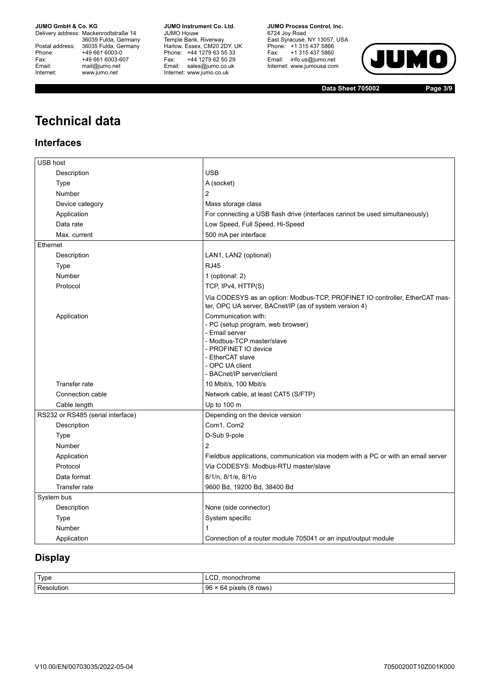Delivery address: Mackenrodtstraße 14 36039 Fulda, Germany Postal address: 36035 Fulda, Germany Phone: +49 661 6003-0<br>
Fax: +49 661 6003-6<br>
Email: mail@jumo.net +49 661 6003-607 mail@jumo.net Internet: www.jumo.net

**JUMO Instrument Co. Ltd.** JUMO House Temple Bank, Riverway Harlow, Essex, CM20 2DY, UK Phone: +44 1279 63 55 33 Fax: +44 1279 62 50 29 Email: sales@jumo.co.uk Internet: www.jumo.co.uk

**JUMO Process Control, Inc.** 6724 Joy Road

East Syracuse, NY 13057, USA Phone: +1 315 437 5866 Fax: +1 315 437 5860 Email: info.us@jumo.net Internet: www.jumousa.com



**Data Sheet 705002 Page 3/9**

# **Technical data**

## **Interfaces**

| USB host                          |                                                                                                                                                                                                     |
|-----------------------------------|-----------------------------------------------------------------------------------------------------------------------------------------------------------------------------------------------------|
| Description                       | <b>USB</b>                                                                                                                                                                                          |
| Type                              | A (socket)                                                                                                                                                                                          |
| Number                            | 2                                                                                                                                                                                                   |
| Device category                   | Mass storage class                                                                                                                                                                                  |
| Application                       | For connecting a USB flash drive (interfaces cannot be used simultaneously)                                                                                                                         |
| Data rate                         | Low Speed, Full Speed, Hi-Speed                                                                                                                                                                     |
| Max. current                      | 500 mA per interface                                                                                                                                                                                |
| Ethernet                          |                                                                                                                                                                                                     |
| Description                       | LAN1, LAN2 (optional)                                                                                                                                                                               |
| <b>Type</b>                       | <b>RJ45</b>                                                                                                                                                                                         |
| Number                            | 1 (optional: 2)                                                                                                                                                                                     |
| Protocol                          | TCP, IPv4, HTTP(S)                                                                                                                                                                                  |
|                                   | Via CODESYS as an option: Modbus-TCP, PROFINET IO controller, EtherCAT mas-<br>ter, OPC UA server, BACnet/IP (as of system version 4)                                                               |
| Application                       | Communication with:<br>- PC (setup program, web browser)<br>- Email server<br>- Modbus-TCP master/slave<br>- PROFINET IO device<br>- EtherCAT slave<br>- OPC UA client<br>- BACnet/IP server/client |
| <b>Transfer rate</b>              | 10 Mbit/s, 100 Mbit/s                                                                                                                                                                               |
| Connection cable                  | Network cable, at least CAT5 (S/FTP)                                                                                                                                                                |
| Cable length                      | Up to 100 m                                                                                                                                                                                         |
| RS232 or RS485 (serial interface) | Depending on the device version                                                                                                                                                                     |
| Description                       | Com1, Com2                                                                                                                                                                                          |
| <b>Type</b>                       | D-Sub 9-pole                                                                                                                                                                                        |
| Number                            | 2                                                                                                                                                                                                   |
| Application                       | Fieldbus applications, communication via modem with a PC or with an email server                                                                                                                    |
| Protocol                          | Via CODESYS: Modbus-RTU master/slave                                                                                                                                                                |
| Data format                       | 8/1/n, 8/1/e, 8/1/o                                                                                                                                                                                 |
| Transfer rate                     | 9600 Bd, 19200 Bd, 38400 Bd                                                                                                                                                                         |
| System bus                        |                                                                                                                                                                                                     |
| Description                       | None (side connector)                                                                                                                                                                               |
| Type                              | System specific                                                                                                                                                                                     |
| Number                            | 1                                                                                                                                                                                                   |
| Application                       | Connection of a router module 705041 or an input/output module                                                                                                                                      |

## **Display**

| Type               | r.<br>nonochrome<br>└─<br>$\sim$               |
|--------------------|------------------------------------------------|
| Ð<br>RAC<br>nutior | 96<br>rows<br>pixels<br>64<br>$\sim$<br>$\sim$ |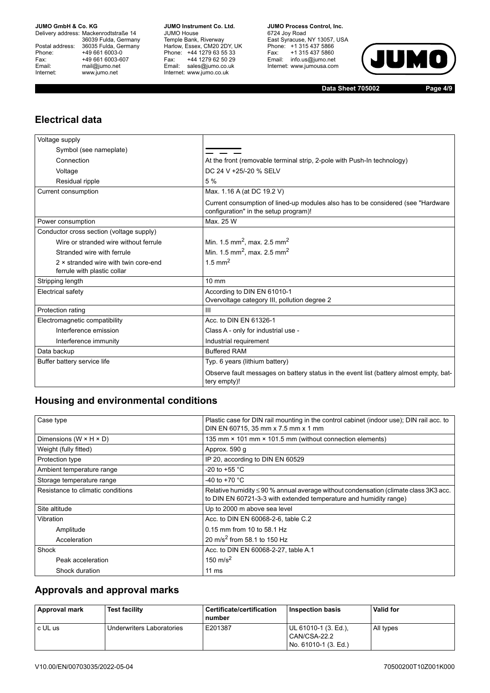Delivery address: Mackenrodtstraße 14 36039 Fulda, Germany Postal address: 36035 Fulda, Germany Phone: +49 661 6003-0<br>
Fax: +49 661 6003-6<br>
Email: mail@jumo.net +49 661 6003-607 mail@jumo.net Internet: www.jumo.net

**JUMO Instrument Co. Ltd.** JUMO House Temple Bank, Riverway Harlow, Essex, CM20 2DY, UK Phone: +44 1279 63 55 33 Fax: +44 1279 62 50 29 Email: sales@jumo.co.uk Internet: www.jumo.co.uk

**JUMO Process Control, Inc.** 6724 Joy Road East Syracuse, NY 13057, USA Phone: +1 315 437 5866 Fax: +1 315 437 5860 Email: info.us@jumo.net Internet: www.jumousa.com



**Data Sheet 705002 Page 4/9**

## **Electrical data**

| Voltage supply                                                      |                                                                                                                            |
|---------------------------------------------------------------------|----------------------------------------------------------------------------------------------------------------------------|
| Symbol (see nameplate)                                              |                                                                                                                            |
| Connection                                                          | At the front (removable terminal strip, 2-pole with Push-In technology)                                                    |
| Voltage                                                             | DC 24 V +25/-20 % SELV                                                                                                     |
| Residual ripple                                                     | 5 %                                                                                                                        |
| Current consumption                                                 | Max. 1.16 A (at DC 19.2 V)                                                                                                 |
|                                                                     | Current consumption of lined-up modules also has to be considered (see "Hardware"<br>configuration" in the setup program)! |
| Power consumption                                                   | Max. 25 W                                                                                                                  |
| Conductor cross section (voltage supply)                            |                                                                                                                            |
| Wire or stranded wire without ferrule                               | Min. 1.5 mm <sup>2</sup> , max. 2.5 mm <sup>2</sup>                                                                        |
| Stranded wire with ferrule                                          | Min. 1.5 mm <sup>2</sup> , max. 2.5 mm <sup>2</sup>                                                                        |
| 2 x stranded wire with twin core-end<br>ferrule with plastic collar | 1.5 mm <sup>2</sup>                                                                                                        |
| Stripping length                                                    | $10 \text{ mm}$                                                                                                            |
| Electrical safety                                                   | According to DIN EN 61010-1<br>Overvoltage category III, pollution degree 2                                                |
| Protection rating                                                   | Ш                                                                                                                          |
| Electromagnetic compatibility                                       | Acc. to DIN EN 61326-1                                                                                                     |
| Interference emission                                               | Class A - only for industrial use -                                                                                        |
| Interference immunity                                               | Industrial requirement                                                                                                     |
| Data backup                                                         | <b>Buffered RAM</b>                                                                                                        |
| Buffer battery service life                                         | Typ. 6 years (lithium battery)                                                                                             |
|                                                                     | Observe fault messages on battery status in the event list (battery almost empty, bat-<br>tery empty)!                     |

## **Housing and environmental conditions**

| Case type                            | Plastic case for DIN rail mounting in the control cabinet (indoor use); DIN rail acc. to<br>DIN EN 60715, 35 mm x 7.5 mm x 1 mm                                |
|--------------------------------------|----------------------------------------------------------------------------------------------------------------------------------------------------------------|
| Dimensions (W $\times$ H $\times$ D) | 135 mm × 101 mm × 101.5 mm (without connection elements)                                                                                                       |
| Weight (fully fitted)                | Approx. 590 q                                                                                                                                                  |
| Protection type                      | IP 20, according to DIN EN 60529                                                                                                                               |
| Ambient temperature range            | -20 to +55 $^{\circ}$ C                                                                                                                                        |
| Storage temperature range            | -40 to +70 $^{\circ}$ C                                                                                                                                        |
| Resistance to climatic conditions    | Relative humidity $\leq$ 90 % annual average without condensation (climate class 3K3 acc.<br>to DIN EN 60721-3-3 with extended temperature and humidity range) |
| Site altitude                        | Up to 2000 m above sea level                                                                                                                                   |
| Vibration                            | Acc. to DIN EN 60068-2-6, table C.2                                                                                                                            |
| Amplitude                            | 0.15 mm from 10 to 58.1 Hz                                                                                                                                     |
| Acceleration                         | 20 m/s <sup>2</sup> from 58.1 to 150 Hz                                                                                                                        |
| Shock                                | Acc. to DIN EN 60068-2-27, table A.1                                                                                                                           |
| Peak acceleration                    | 150 m/s <sup>2</sup>                                                                                                                                           |
| Shock duration                       | $11 \text{ ms}$                                                                                                                                                |

## **Approvals and approval marks**

| Approval mark | <b>Test facility</b>      | Certificate/certification<br>number | <b>Inspection basis</b>                                        | <b>Valid for</b> |
|---------------|---------------------------|-------------------------------------|----------------------------------------------------------------|------------------|
| c UL us       | Underwriters Laboratories | E201387                             | UL 61010-1 (3. Ed.).<br>CAN/CSA-22.2<br>  No. 61010-1 (3. Ed.) | All types        |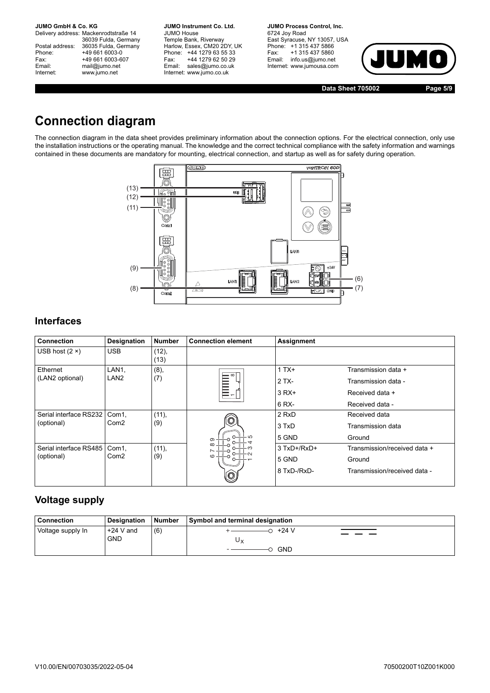Delivery address: Mackenrodtstraße 14 36039 Fulda, Germany Postal address: 36035 Fulda, Germany Phone: +49 661 6003-0<br>
Fax: +49 661 6003-6<br>
Email: mail@jumo.net +49 661 6003-607 mail@jumo.net Internet: www.jumo.net

**JUMO Instrument Co. Ltd.** JUMO House Temple Bank, Riverway Harlow, Essex, CM20 2DY, UK Phone: +44 1279 63 55 33 Fax: +44 1279 62 50 29 Email: sales@jumo.co.uk Internet: www.jumo.co.uk

**JUMO Process Control, Inc.** 6724 Joy Road East Syracuse, NY 13057, USA Phone: +1 315 437 5866 Fax: +1 315 437 5860 Email: info.us@jumo.net Internet: www.jumousa.com



**Data Sheet 705002 Page 5/9**

# **Connection diagram**

The connection diagram in the data sheet provides preliminary information about the connection options. For the electrical connection, only use the installation instructions or the operating manual. The knowledge and the correct technical compliance with the safety information and warnings contained in these documents are mandatory for mounting, electrical connection, and startup as well as for safety during operation.



## **Interfaces**

| <b>Connection</b>      | Designation      | <b>Number</b> | <b>Connection element</b> | Assignment    |                              |  |  |  |
|------------------------|------------------|---------------|---------------------------|---------------|------------------------------|--|--|--|
| USB host $(2 \times)$  | <b>USB</b>       | (12),<br>(13) |                           |               |                              |  |  |  |
| Ethernet               | LAN1,            | (8),          | $-\infty$                 | $1TX+$        | Transmission data +          |  |  |  |
| (LAN2 optional)        | LAN2             | (7)           |                           | $2TX -$       | Transmission data -          |  |  |  |
|                        |                  |               | E<br>E<br>E<br>S          | $3 RX+$       | Received data +              |  |  |  |
|                        |                  |               |                           | 6 RX-         | Received data -              |  |  |  |
| Serial interface RS232 | Com1,            | (11),         |                           | 2 RxD         | Received data                |  |  |  |
| (optional)             | Com <sub>2</sub> | (9)           |                           | 3 TxD         | Transmission data            |  |  |  |
|                        |                  |               | GJ.<br>$\sigma$           | 5 GND         | Ground                       |  |  |  |
| Serial interface RS485 | Com1,            | (11),         | $\infty$                  | $3$ TxD+/RxD+ | Transmission/received data + |  |  |  |
| (optional)             | Com <sub>2</sub> | (9)           | $\Omega$                  | 5 GND         | Ground                       |  |  |  |
|                        |                  |               | $\circledcirc$            | 8 TxD-/RxD-   | Transmission/received data - |  |  |  |

## **Voltage supply**

| Connection        | <b>Designation</b>        | Number | Symbol and terminal designation |
|-------------------|---------------------------|--------|---------------------------------|
| Voltage supply In | $+24$ V and<br><b>GND</b> | (6)    | $0+24V$<br>Uv<br><b>GND</b>     |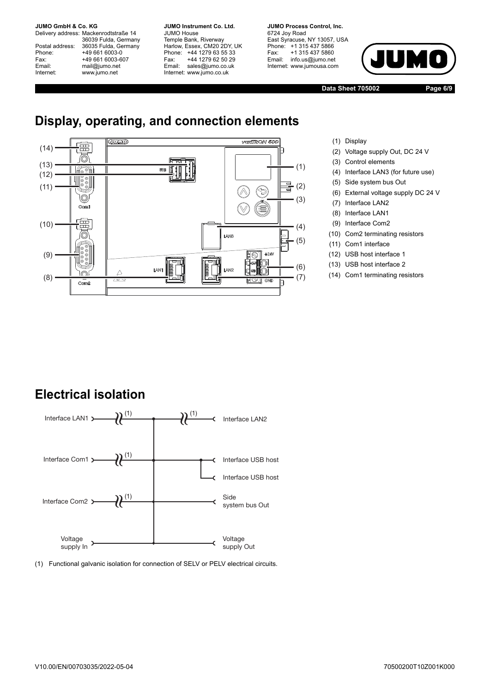Delivery address: Mackenrodtstraße 14 36039 Fulda, Germany Postal address: 36035 Fulda, Germany Phone: +49 661 6003-0 Fax: +49 661 6003-607 Email: mail@jumo.net Internet: www.jumo.net

**JUMO Instrument Co. Ltd.** JUMO House Temple Bank, Riverway Harlow, Essex, CM20 2DY, UK Phone: +44 1279 63 55 33 Fax: +44 1279 62 50 29 Email: sales@jumo.co.uk Internet: www.jumo.co.uk

**JUMO Process Control, Inc.** 6724 Joy Road East Syracuse, NY 13057, USA Phone: +1 315 437 5866 Fax: +1 315 437 5860 Email: info.us@jumo.net Internet: www.jumousa.com



**Data Sheet 705002 Page 6/9**

# **Display, operating, and connection elements**



- (1) Display
- (2) Voltage supply Out, DC 24 V
- (3) Control elements
- (4) Interface LAN3 (for future use)
- (5) Side system bus Out
- (6) External voltage supply DC 24 V
- (7) Interface LAN2
- (8) Interface LAN1
- (9) Interface Com2
- (10) Com2 terminating resistors
- (11) Com1 interface
- (12) USB host interface 1
- (13) USB host interface 2
- (14) Com1 terminating resistors

# **Electrical isolation**



(1) Functional galvanic isolation for connection of SELV or PELV electrical circuits.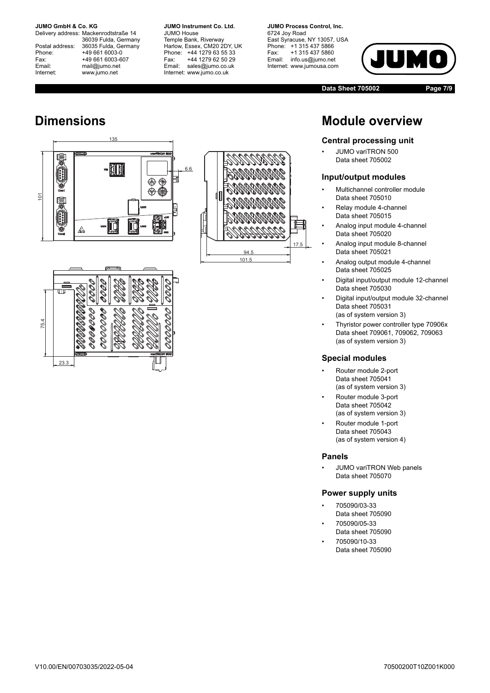Delivery address: Mackenrodtstraße 14 36039 Fulda, Germany Postal address: 36035 Fulda, Germany Phone: +49 661 6003-0 Fax: +49 661 6003-607 Email: mail@jumo.net Internet: www.jumo.net

**JUMO Instrument Co. Ltd.** JUMO House Temple Bank, Riverway Harlow, Essex, CM20 2DY, UK Phone: +44 1279 63 55 33 Fax: +44 1279 62 50 29 Email: sales@jumo.co.uk Internet: www.jumo.co.uk

**JUMO Process Control, Inc.** 6724 Joy Road East Syracuse, NY 13057, USA Phone: +1 315 437 5866

Fax: +1 315 437 5860 Email: info.us@jumo.net Internet: www.jumousa.com



**Data Sheet 705002 Page 7/9**

# **Dimensions**

23.3





# **Module overview**

### **Central processing unit**

• JUMO variTRON 500 Data sheet 705002

#### **Input/output modules**

- Multichannel controller module Data sheet 705010
- Relay module 4-channel Data sheet 705015
- Analog input module 4-channel Data sheet 705020
- Analog input module 8-channel Data sheet 705021
- Analog output module 4-channel Data sheet 705025
- Digital input/output module 12-channel Data sheet 705030
- Digital input/output module 32-channel Data sheet 705031 (as of system version 3)
- Thyristor power controller type 70906x Data sheet 709061, 709062, 709063 (as of system version 3)

### **Special modules**

- Router module 2-port Data sheet 705041 (as of system version 3)
- Router module 3-port Data sheet 705042 (as of system version 3)
- Router module 1-port Data sheet 705043 (as of system version 4)

### **Panels**

• JUMO variTRON Web panels Data sheet 705070

### **Power supply units**

- 705090/03-33 Data sheet 705090
- 705090/05-33 Data sheet 705090
- 705090/10-33 Data sheet 705090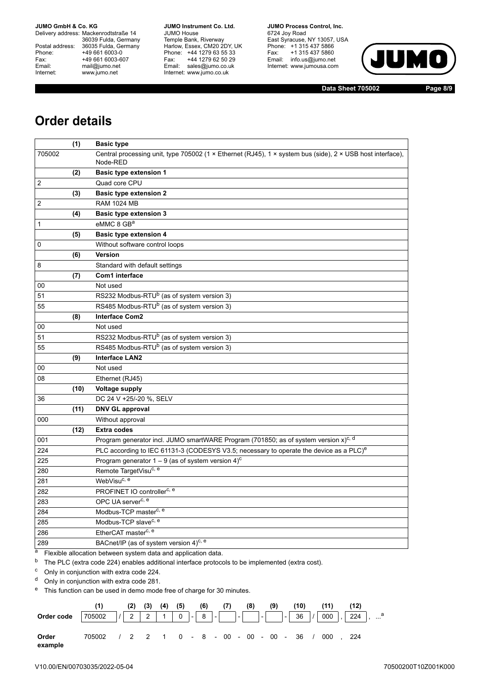Delivery address: Mackenrodtstraße 14 36039 Fulda, Germany Postal address: 36035 Fulda, Germany Phone: +49 661 6003-0<br>
Fax: +49 661 6003-6<br>
Email: mail@jumo.net +49 661 6003-607 mail@jumo.net Internet: www.jumo.net

**JUMO Instrument Co. Ltd.** JUMO House Temple Bank, Riverway Harlow, Essex, CM20 2DY, UK Phone: +44 1279 63 55 33 Fax: +44 1279 62 50 29 Email: sales@jumo.co.uk Internet: www.jumo.co.uk

**JUMO Process Control, Inc.** 6724 Joy Road East Syracuse, NY 13057, USA Phone: +1 315 437 5866 Fax: +1 315 437 5860 Email: info.us@jumo.net

Internet: www.jumousa.com



**Data Sheet 705002 Page 8/9**

## **Order details**

|                | (1)  | <b>Basic type</b>                                                                                                      |
|----------------|------|------------------------------------------------------------------------------------------------------------------------|
| 705002         |      | Central processing unit, type 705002 (1 × Ethernet (RJ45), 1 × system bus (side), 2 × USB host interface),<br>Node-RED |
|                | (2)  | Basic type extension 1                                                                                                 |
| $\overline{2}$ |      | Quad core CPU                                                                                                          |
|                | (3)  | <b>Basic type extension 2</b>                                                                                          |
| 2              |      | <b>RAM 1024 MB</b>                                                                                                     |
|                | (4)  | <b>Basic type extension 3</b>                                                                                          |
| 1              |      | eMMC 8 GB <sup>a</sup>                                                                                                 |
|                | (5)  | <b>Basic type extension 4</b>                                                                                          |
| 0              |      | Without software control loops                                                                                         |
|                | (6)  | <b>Version</b>                                                                                                         |
| 8              |      | Standard with default settings                                                                                         |
|                | (7)  | Com1 interface                                                                                                         |
| 00             |      | Not used                                                                                                               |
| 51             |      | RS232 Modbus-RTU <sup>b</sup> (as of system version 3)                                                                 |
| 55             |      | RS485 Modbus-RTU <sup>b</sup> (as of system version 3)                                                                 |
|                | (8)  | <b>Interface Com2</b>                                                                                                  |
| 00             |      | Not used                                                                                                               |
| 51             |      | RS232 Modbus-RTU <sup>b</sup> (as of system version 3)                                                                 |
| 55             |      | RS485 Modbus-RTU <sup>b</sup> (as of system version 3)                                                                 |
|                | (9)  | <b>Interface LAN2</b>                                                                                                  |
| 00             |      | Not used                                                                                                               |
| 08             |      | Ethernet (RJ45)                                                                                                        |
|                | (10) | <b>Voltage supply</b>                                                                                                  |
| 36             |      | DC 24 V +25/-20 %, SELV                                                                                                |
|                | (11) | <b>DNV GL approval</b>                                                                                                 |
| 000            |      | Without approval                                                                                                       |
|                | (12) | <b>Extra codes</b>                                                                                                     |
| 001            |      | Program generator incl. JUMO smartWARE Program (701850; as of system version $x$ ) <sup>c, d</sup>                     |
| 224            |      | PLC according to IEC 61131-3 (CODESYS V3.5; necessary to operate the device as a PLC) <sup>e</sup>                     |
| 225            |      | Program generator $1 - 9$ (as of system version 4) <sup>c</sup>                                                        |
| 280            |      | Remote TargetVisu <sup>c, e</sup>                                                                                      |
| 281            |      | WebVisu <sup>c, e</sup>                                                                                                |
| 282            |      | PROFINET IO controller <sup>c, e</sup>                                                                                 |
| 283            |      | OPC UA server <sup>c, e</sup>                                                                                          |
| 284            |      | Modbus-TCP master <sup>c, e</sup>                                                                                      |
| 285            |      | Modbus-TCP slave <sup>c, e</sup>                                                                                       |
| 286            |      | EtherCAT master <sup>c, e</sup>                                                                                        |
| 289            |      | BACnet/IP (as of system version 4) <sup>c, e</sup>                                                                     |

a Flexible allocation between system data and application data.

<sup>b</sup> The PLC (extra code 224) enables additional interface protocols to be implemented (extra cost).

<sup>c</sup> Only in conjunction with extra code 224.

<sup>d</sup> Only in conjunction with extra code 281.

<sup>e</sup> This function can be used in demo mode free of charge for 30 minutes.

|                  |                                                      | (2) | $(3)$ $(4)$ | (5) | (6) | (7) | (8) | (9) | (10) |  | (12) |  |
|------------------|------------------------------------------------------|-----|-------------|-----|-----|-----|-----|-----|------|--|------|--|
| Order code       |                                                      |     |             |     |     |     |     |     |      |  |      |  |
| Order<br>example | 705002 / 2 2 1 0 - 8 - 00 - 00 - 00 - 36 / 000 , 224 |     |             |     |     |     |     |     |      |  |      |  |